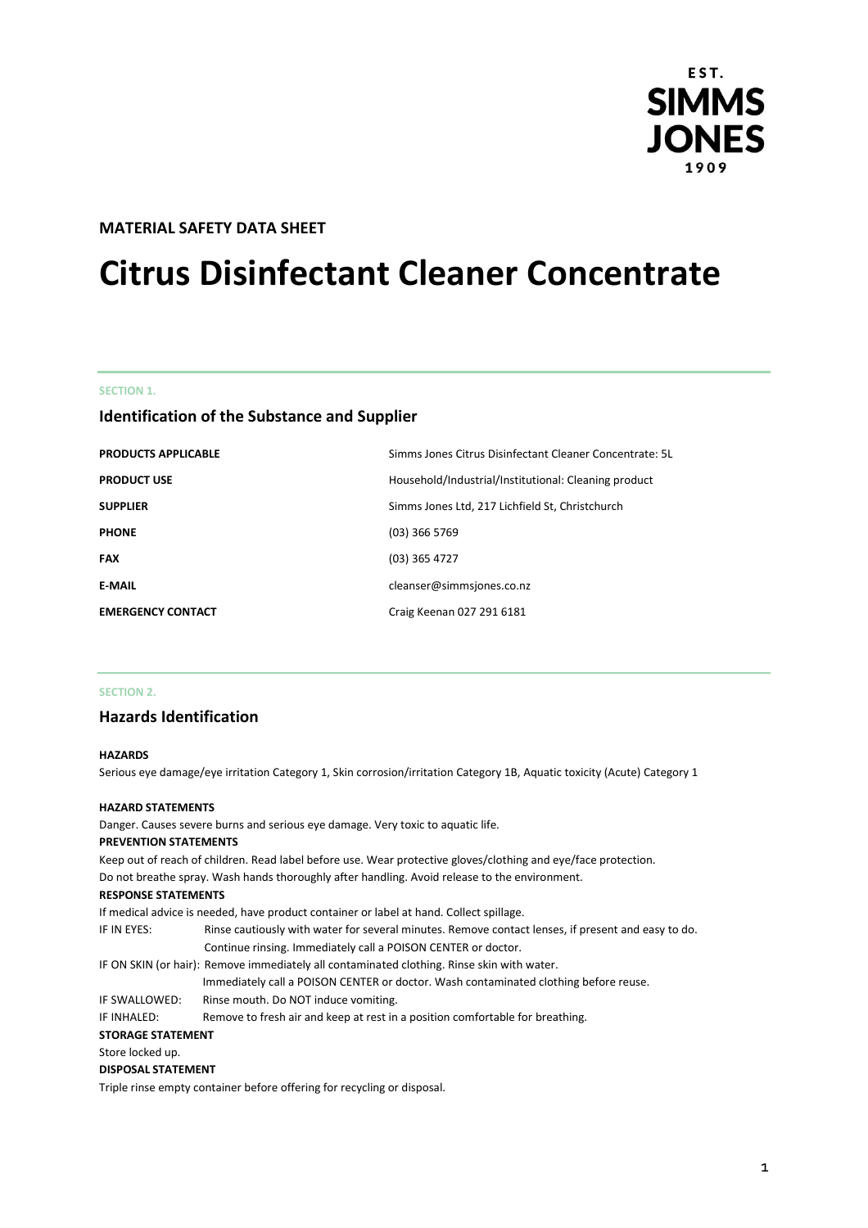

# **MATERIAL SAFETY DATA SHEET**

# **Citrus Disinfectant Cleaner Concentrate**

#### **SECTION 1.**

# **Identification of the Substance and Supplier**

| <b>PRODUCTS APPLICABLE</b> | Simms Jones Citrus Disinfectant Cleaner Concentrate: 5L |
|----------------------------|---------------------------------------------------------|
| <b>PRODUCT USE</b>         | Household/Industrial/Institutional: Cleaning product    |
| <b>SUPPLIER</b>            | Simms Jones Ltd, 217 Lichfield St, Christchurch         |
| <b>PHONE</b>               | $(03)$ 366 5769                                         |
| <b>FAX</b>                 | $(03)$ 365 4727                                         |
| <b>E-MAIL</b>              | cleanser@simmsjones.co.nz                               |
| <b>EMERGENCY CONTACT</b>   | Craig Keenan 027 291 6181                               |

## **SECTION 2.**

# **Hazards Identification**

#### **HAZARDS**

Serious eye damage/eye irritation Category 1, Skin corrosion/irritation Category 1B, Aquatic toxicity (Acute) Category 1

#### **HAZARD STATEMENTS**

Danger. Causes severe burns and serious eye damage. Very toxic to aquatic life.

#### **PREVENTION STATEMENTS**

Keep out of reach of children. Read label before use. Wear protective gloves/clothing and eye/face protection. Do not breathe spray. Wash hands thoroughly after handling. Avoid release to the environment.

#### **RESPONSE STATEMENTS**

If medical advice is needed, have product container or label at hand. Collect spillage. IF IN EYES: Rinse cautiously with water for several minutes. Remove contact lenses, if present and easy to do. Continue rinsing. Immediately call a POISON CENTER or doctor. IF ON SKIN (or hair): Remove immediately all contaminated clothing. Rinse skin with water. Immediately call a POISON CENTER or doctor. Wash contaminated clothing before reuse. IF SWALLOWED: Rinse mouth. Do NOT induce vomiting. IF INHALED: Remove to fresh air and keep at rest in a position comfortable for breathing. **STORAGE STATEMENT** Store locked up. **DISPOSAL STATEMENT** Triple rinse empty container before offering for recycling or disposal.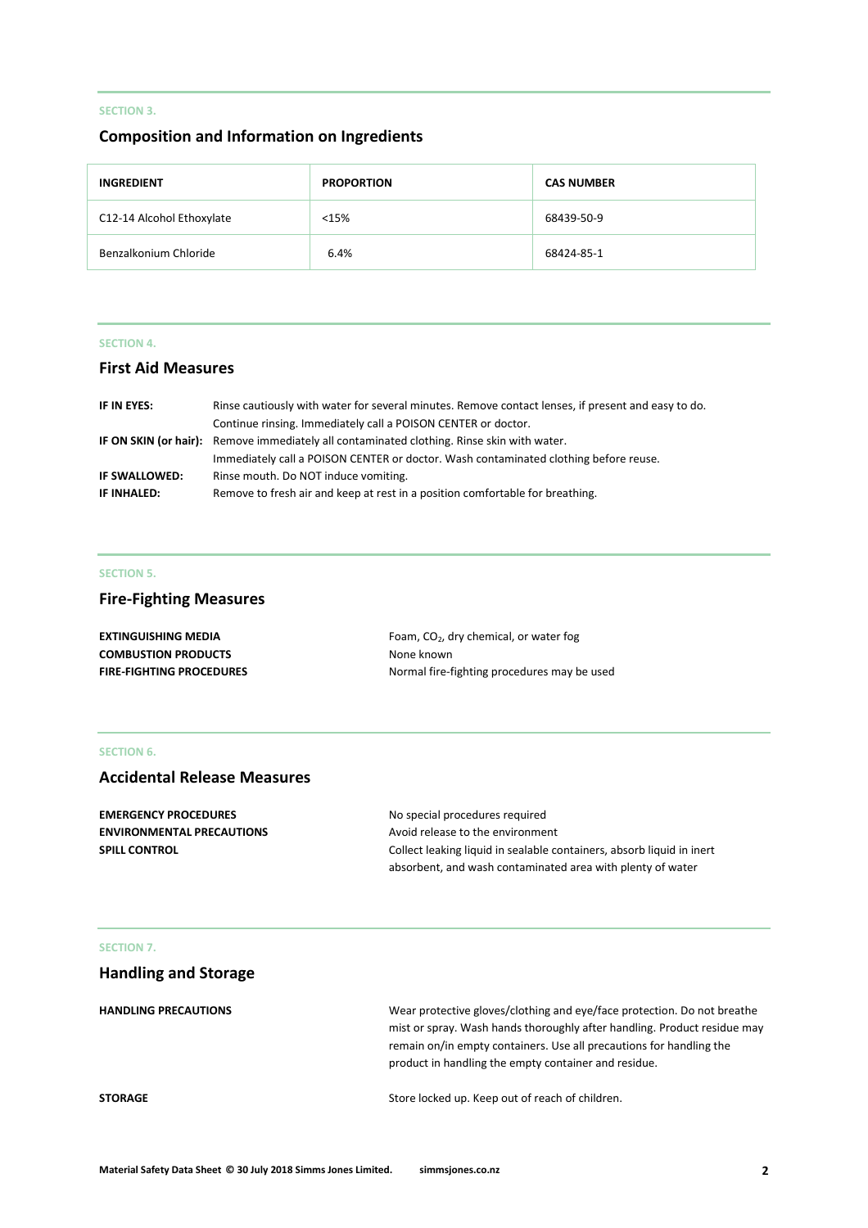# **SECTION 3.**

# **Composition and Information on Ingredients**

| <b>INGREDIENT</b>         | <b>PROPORTION</b> | <b>CAS NUMBER</b> |
|---------------------------|-------------------|-------------------|
| C12-14 Alcohol Ethoxylate | <15%              | 68439-50-9        |
| Benzalkonium Chloride     | 6.4%              | 68424-85-1        |

## **SECTION 4.**

# **First Aid Measures**

| IF IN EYES:   | Rinse cautiously with water for several minutes. Remove contact lenses, if present and easy to do. |
|---------------|----------------------------------------------------------------------------------------------------|
|               | Continue rinsing. Immediately call a POISON CENTER or doctor.                                      |
|               | IF ON SKIN (or hair): Remove immediately all contaminated clothing. Rinse skin with water.         |
|               | Immediately call a POISON CENTER or doctor. Wash contaminated clothing before reuse.               |
| IF SWALLOWED: | Rinse mouth. Do NOT induce vomiting.                                                               |
| IF INHALED:   | Remove to fresh air and keep at rest in a position comfortable for breathing.                      |

## **SECTION 5.**

# **Fire-Fighting Measures**

| <b>EXTINGUISHING MEDIA</b>      | Foam, $CO2$ , dry chemical, or water fog    |
|---------------------------------|---------------------------------------------|
| <b>COMBUSTION PRODUCTS</b>      | None known                                  |
| <b>FIRE-FIGHTING PROCEDURES</b> | Normal fire-fighting procedures may be used |

# **SECTION 6.**

# **Accidental Release Measures**

| <b>EMERGENCY PROCEDURES</b>      | No special procedures required                                        |
|----------------------------------|-----------------------------------------------------------------------|
| <b>ENVIRONMENTAL PRECAUTIONS</b> | Avoid release to the environment                                      |
| <b>SPILL CONTROL</b>             | Collect leaking liquid in sealable containers, absorb liquid in inert |
|                                  | absorbent, and wash contaminated area with plenty of water            |

## **SECTION 7.**

| <b>Handling and Storage</b> |                                                                                                                                                                                                                                                                                    |
|-----------------------------|------------------------------------------------------------------------------------------------------------------------------------------------------------------------------------------------------------------------------------------------------------------------------------|
| <b>HANDLING PRECAUTIONS</b> | Wear protective gloves/clothing and eye/face protection. Do not breathe<br>mist or spray. Wash hands thoroughly after handling. Product residue may<br>remain on/in empty containers. Use all precautions for handling the<br>product in handling the empty container and residue. |
| <b>STORAGE</b>              | Store locked up. Keep out of reach of children.                                                                                                                                                                                                                                    |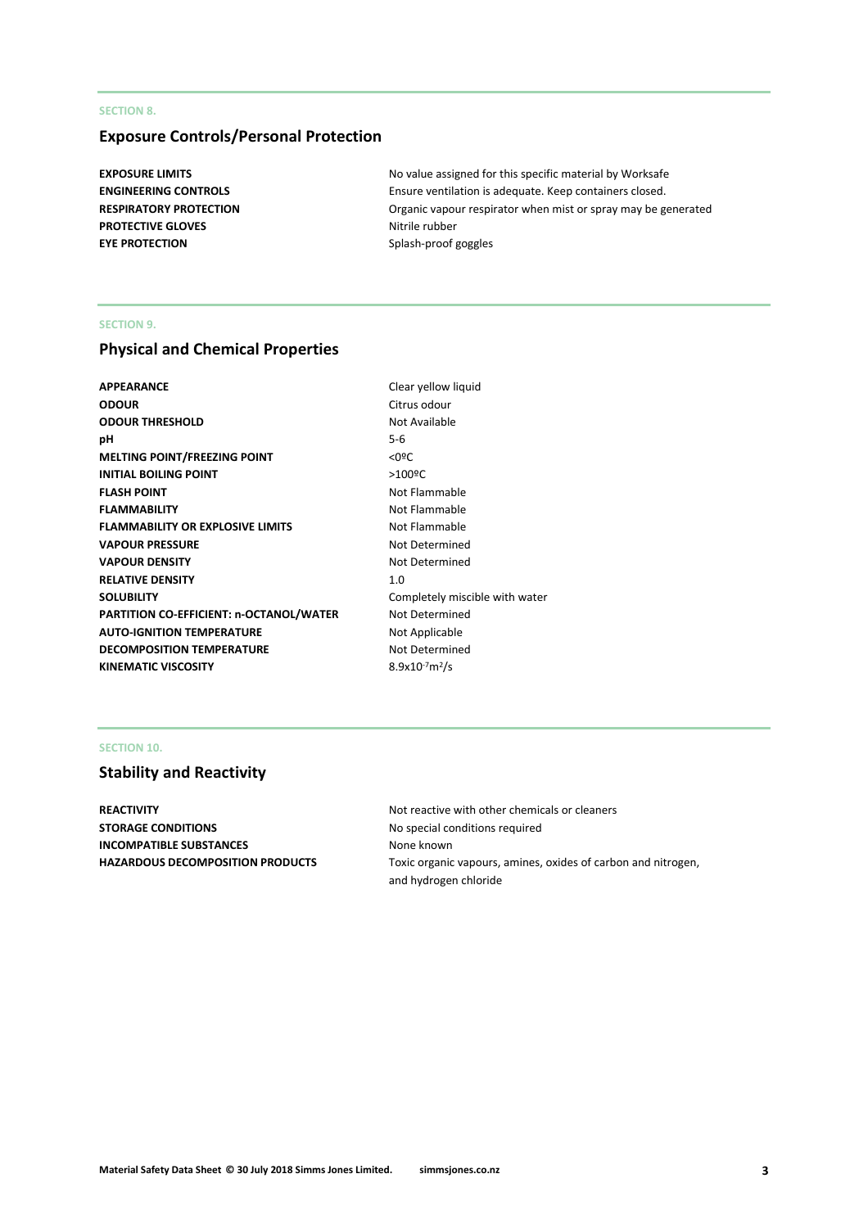## **SECTION 8.**

# **Exposure Controls/Personal Protection**

**PROTECTIVE GLOVES** Nitrile rubber **EYE PROTECTION** Splash-proof goggles

**EXPOSURE LIMITS EXPOSURE LIMITS No value assigned for this specific material by Worksafe ENGINEERING CONTROLS** Ensure ventilation is adequate. Keep containers closed. **RESPIRATORY PROTECTION Critic in the SPIRATORY PROTECTION Organic vapour respirator when mist or spray may be generated** 

#### **SECTION 9.**

# **Physical and Chemical Properties**

| Clear yellow           |
|------------------------|
| Citrus odour           |
| Not Available          |
| $5 - 6$                |
| $<$ 0 <sup>o</sup> $<$ |
| $>100$ <sup>o</sup> C  |
| Not Flammal            |
| Not Flammal            |
| Not Flammal            |
| Not Determi            |
| Not Determi            |
| 1.0                    |
| Completely r           |
| Not Determi            |
| Not Applicab           |
| Not Determi            |
| $8.9x10^{-7}m^2/s$     |
|                        |

**Clear yellow liquid** Citrus odour **Not Available Not Flammable Not Flammable Not Flammable Not Determined Not Determined** Completely miscible with water **Not Determined Not Applicable Not Determined** 

# **SECTION 10.**

# **Stability and Reactivity**

**STORAGE CONDITIONS** No special conditions required **INCOMPATIBLE SUBSTANCES** None known

**REACTIVITY REACTIVITY Not reactive with other chemicals or cleaners HAZARDOUS DECOMPOSITION PRODUCTS** Toxic organic vapours, amines, oxides of carbon and nitrogen, and hydrogen chloride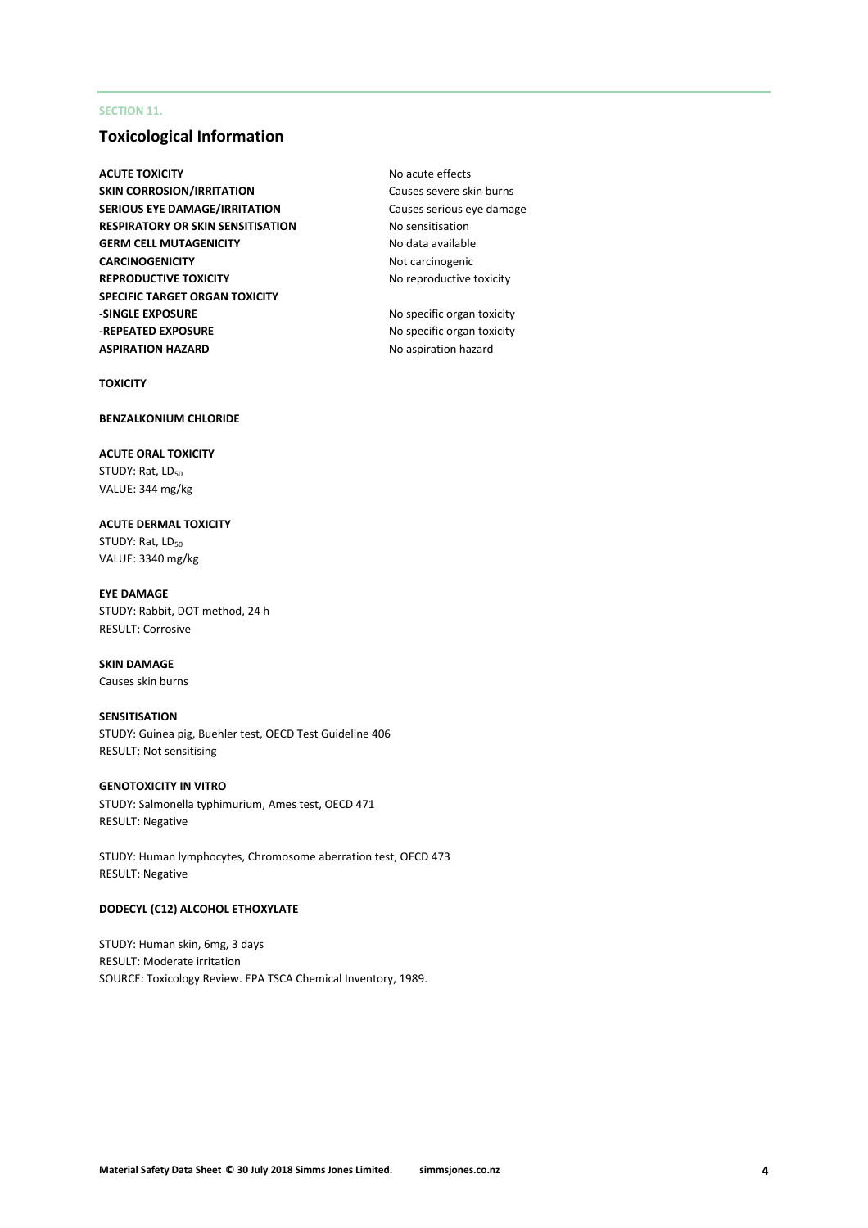## **SECTION 11.**

# **Toxicological Information**

**ACUTE TOXICITY** ACUTE **NO ACUTE TOXICITY SKIN CORROSION/IRRITATION** Causes severe skin burns **SERIOUS EYE DAMAGE/IRRITATION** Causes serious eye damage **RESPIRATORY OR SKIN SENSITISATION** No sensitisation **GERM CELL MUTAGENICITY** No data available **CARCINOGENICITY** Not carcinogenic **REPRODUCTIVE TOXICITY** No reproductive toxicity **SPECIFIC TARGET ORGAN TOXICITY -SINGLE EXPOSURE** No specific organ toxicity **-REPEATED EXPOSURE** No specific organ toxicity **ASPIRATION HAZARD** No aspiration hazard

**TOXICITY**

## **BENZALKONIUM CHLORIDE**

**ACUTE ORAL TOXICITY** STUDY: Rat, LD<sub>50</sub> VALUE: 344 mg/kg

**ACUTE DERMAL TOXICITY** STUDY: Rat, LD<sub>50</sub> VALUE: 3340 mg/kg

**EYE DAMAGE** STUDY: Rabbit, DOT method, 24 h RESULT: Corrosive

#### **SKIN DAMAGE** Causes skin burns

## **SENSITISATION**

STUDY: Guinea pig, Buehler test, OECD Test Guideline 406 RESULT: Not sensitising

## **GENOTOXICITY IN VITRO**

STUDY: Salmonella typhimurium, Ames test, OECD 471 RESULT: Negative

STUDY: Human lymphocytes, Chromosome aberration test, OECD 473 RESULT: Negative

#### **DODECYL (C12) ALCOHOL ETHOXYLATE**

STUDY: Human skin, 6mg, 3 days RESULT: Moderate irritation SOURCE: Toxicology Review. EPA TSCA Chemical Inventory, 1989.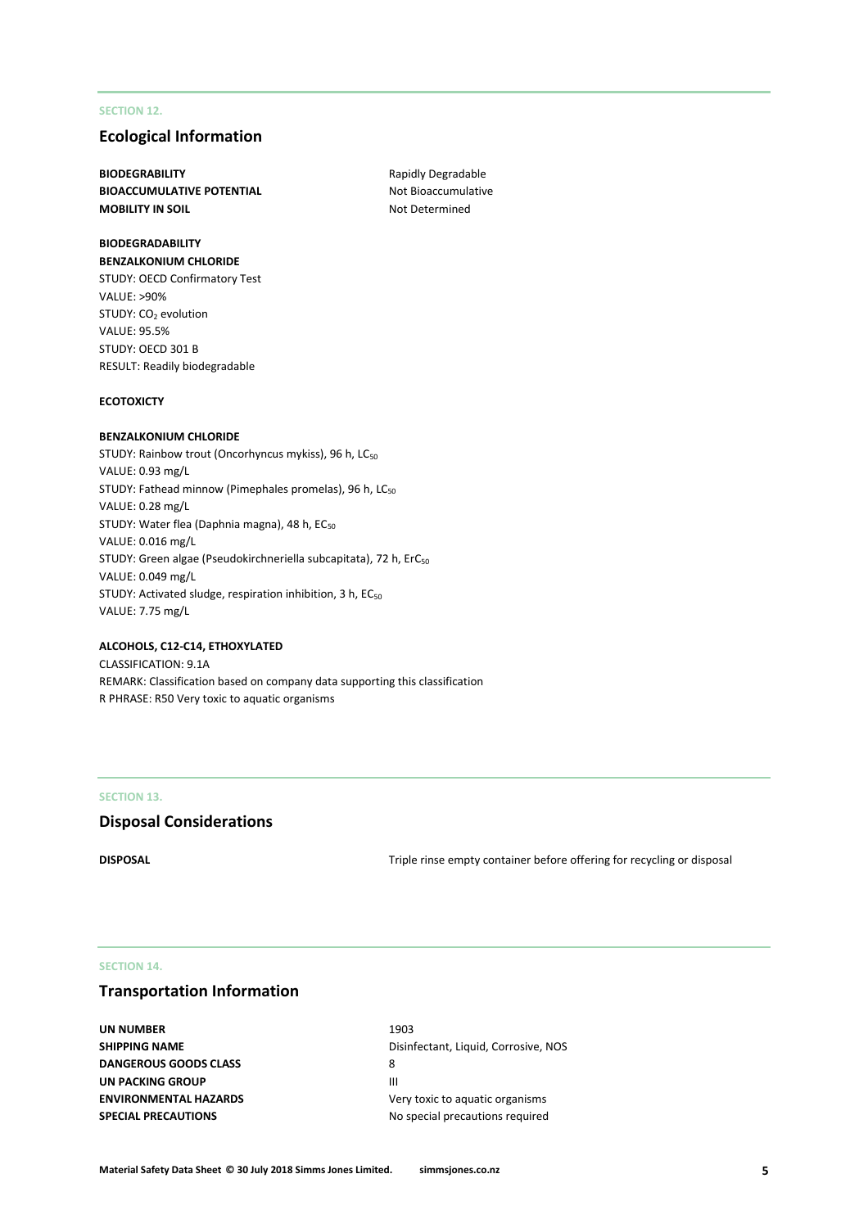## **SECTION 12.**

# **Ecological Information**

**BIODEGRABILITY** Rapidly Degradable **BIOACCUMULATIVE POTENTIAL** Not Bioaccumulative **MOBILITY IN SOIL** MOBILITY IN SOIL

## **BIODEGRADABILITY BENZALKONIUM CHLORIDE**

STUDY: OECD Confirmatory Test VALUE: >90% STUDY: CO<sub>2</sub> evolution VALUE: 95.5% STUDY: OECD 301 B RESULT: Readily biodegradable

#### **ECOTOXICTY**

#### **BENZALKONIUM CHLORIDE**

STUDY: Rainbow trout (Oncorhyncus mykiss), 96 h, LC<sub>50</sub> VALUE: 0.93 mg/L STUDY: Fathead minnow (Pimephales promelas), 96 h, LC<sub>50</sub> VALUE: 0.28 mg/L STUDY: Water flea (Daphnia magna), 48 h, EC<sub>50</sub> VALUE: 0.016 mg/L STUDY: Green algae (Pseudokirchneriella subcapitata), 72 h, ErC<sub>50</sub> VALUE: 0.049 mg/L STUDY: Activated sludge, respiration inhibition, 3 h, EC<sub>50</sub> VALUE: 7.75 mg/L

#### **ALCOHOLS, C12-C14, ETHOXYLATED**

CLASSIFICATION: 9.1A REMARK: Classification based on company data supporting this classification R PHRASE: R50 Very toxic to aquatic organisms

#### **SECTION 13.**

## **Disposal Considerations**

**DISPOSAL** DISPOSAL **DISPOSAL Triple rinse empty container before offering for recycling or disposal** 

## **SECTION 14.**

# **Transportation Information**

**UN NUMBER** 1903 **DANGEROUS GOODS CLASS** 8 **UN PACKING GROUP AND IN THE REAL PROPERTY OF A REAL PROPERTY OF A REAL PROPERTY OF A REAL PROPERTY OF A REAL PROPERTY SPECIAL PRECAUTIONS** No special precautions required

**SHIPPING NAME** Disinfectant, Liquid, Corrosive, NOS **ENVIRONMENTAL HAZARDS** Very toxic to aquatic organisms